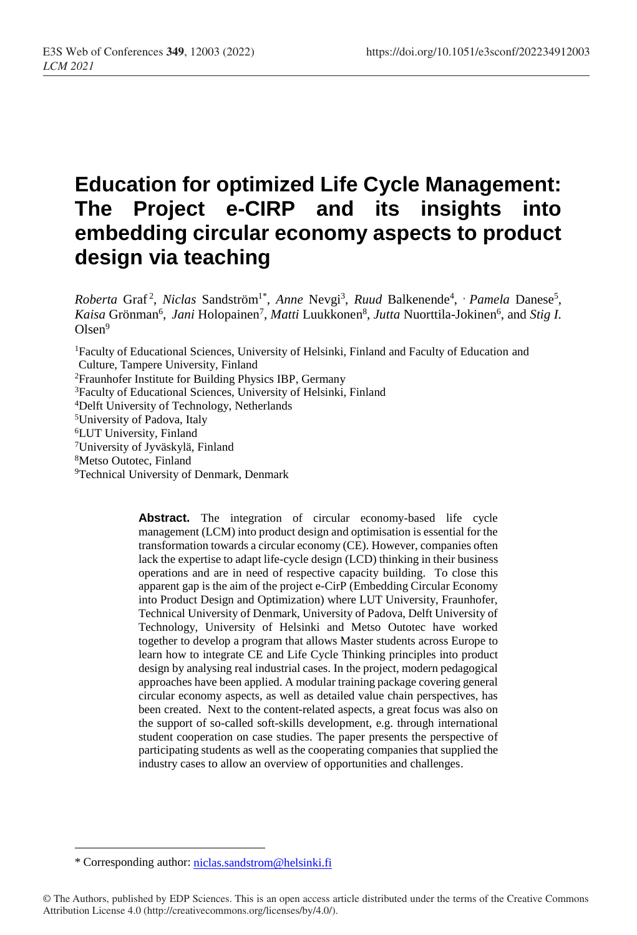# **Education for optimized Life Cycle Management: The Project e-CIRP and its insights into embedding circular economy aspects to product design via teaching**

*Roberta* Graf<sup>2</sup>, *Niclas* Sandström<sup>1\*</sup>, *Anne* Nevgi<sup>3</sup>, *Ruud* Balkenende<sup>4</sup>, *Pamela* Danese<sup>5</sup>, Kaisa Grönman<sup>6</sup>, *Jani* Holopainen<sup>7</sup>, *Matti* Luukkonen<sup>8</sup>, Jutta Nuorttila-Jokinen<sup>6</sup>, and Stig I.  $O$ lsen $9$ 

Faculty of Educational Sciences, University of Helsinki, Finland and Faculty of Education and Culture, Tampere University, Finland Fraunhofer Institute for Building Physics IBP, Germany Faculty of Educational Sciences, University of Helsinki, Finland Delft University of Technology, Netherlands

<sup>5</sup>University of Padova, Italy

<sup>6</sup>LUT University, Finland

<sup>7</sup>University of Jyväskylä, Finland

<sup>8</sup>Metso Outotec, Finland

<sup>9</sup>Technical University of Denmark, Denmark

**Abstract.** The integration of circular economy-based life cycle management (LCM) into product design and optimisation is essential for the transformation towards a circular economy (CE). However, companies often lack the expertise to adapt life-cycle design (LCD) thinking in their business operations and are in need of respective capacity building. To close this apparent gap is the aim of the project e-CirP (Embedding Circular Economy into Product Design and Optimization) where LUT University, Fraunhofer, Technical University of Denmark, University of Padova, Delft University of Technology, University of Helsinki and Metso Outotec have worked together to develop a program that allows Master students across Europe to learn how to integrate CE and Life Cycle Thinking principles into product design by analysing real industrial cases. In the project, modern pedagogical approaches have been applied. A modular training package covering general circular economy aspects, as well as detailed value chain perspectives, has been created. Next to the content-related aspects, a great focus was also on the support of so-called soft-skills development, e.g. through international student cooperation on case studies. The paper presents the perspective of participating students as well as the cooperating companies that supplied the industry cases to allow an overview of opportunities and challenges.

 $\overline{a}$ 

<sup>\*</sup> Corresponding author: [niclas.sandstrom@helsinki.fi](mailto:niclas.sandstrom@helsinki.fi)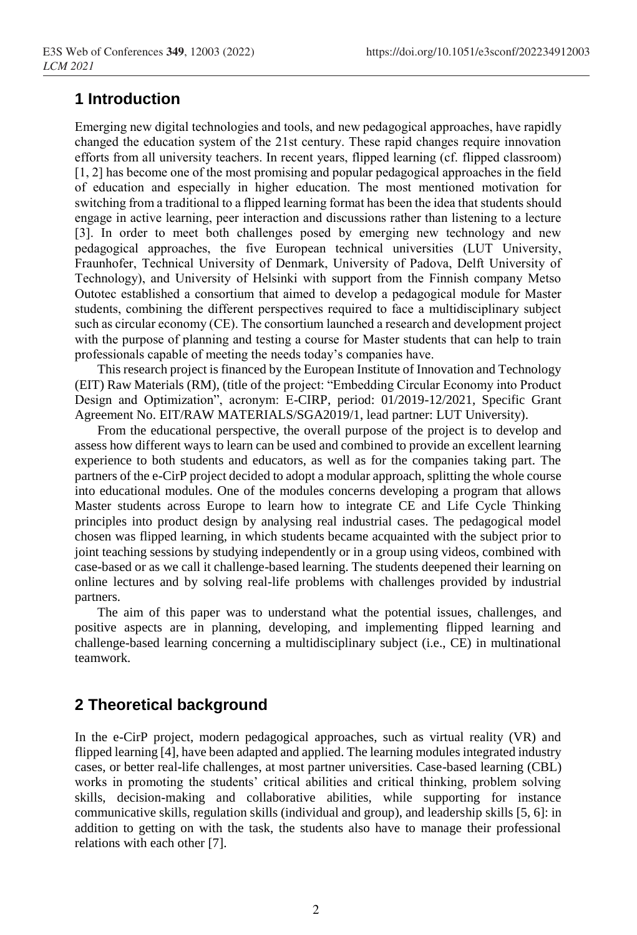## **1 Introduction**

Emerging new digital technologies and tools, and new pedagogical approaches, have rapidly changed the education system of the 21st century. These rapid changes require innovation efforts from all university teachers. In recent years, flipped learning (cf. flipped classroom) [1, 2] has become one of the most promising and popular pedagogical approaches in the field of education and especially in higher education. The most mentioned motivation for switching from a traditional to a flipped learning format has been the idea that students should engage in active learning, peer interaction and discussions rather than listening to a lecture [3]. In order to meet both challenges posed by emerging new technology and new pedagogical approaches, the five European technical universities (LUT University, Fraunhofer, Technical University of Denmark, University of Padova, Delft University of Technology), and University of Helsinki with support from the Finnish company Metso Outotec established a consortium that aimed to develop a pedagogical module for Master students, combining the different perspectives required to face a multidisciplinary subject such as circular economy (CE). The consortium launched a research and development project with the purpose of planning and testing a course for Master students that can help to train professionals capable of meeting the needs today's companies have.

This research project is financed by the European Institute of Innovation and Technology (EIT) Raw Materials (RM), (title of the project: "Embedding Circular Economy into Product Design and Optimization", acronym: E-CIRP, period: 01/2019-12/2021, Specific Grant Agreement No. EIT/RAW MATERIALS/SGA2019/1, lead partner: LUT University).

From the educational perspective, the overall purpose of the project is to develop and assess how different ways to learn can be used and combined to provide an excellent learning experience to both students and educators, as well as for the companies taking part. The partners of the e-CirP project decided to adopt a modular approach, splitting the whole course into educational modules. One of the modules concerns developing a program that allows Master students across Europe to learn how to integrate CE and Life Cycle Thinking principles into product design by analysing real industrial cases. The pedagogical model chosen was flipped learning, in which students became acquainted with the subject prior to joint teaching sessions by studying independently or in a group using videos, combined with case-based or as we call it challenge-based learning. The students deepened their learning on online lectures and by solving real-life problems with challenges provided by industrial partners.

The aim of this paper was to understand what the potential issues, challenges, and positive aspects are in planning, developing, and implementing flipped learning and challenge-based learning concerning a multidisciplinary subject (i.e., CE) in multinational teamwork.

## **2 Theoretical background**

In the e-CirP project, modern pedagogical approaches, such as virtual reality (VR) and flipped learning [4], have been adapted and applied. The learning modules integrated industry cases, or better real-life challenges, at most partner universities. Case-based learning (CBL) works in promoting the students' critical abilities and critical thinking, problem solving skills, decision-making and collaborative abilities, while supporting for instance communicative skills, regulation skills (individual and group), and leadership skills [5, 6]: in addition to getting on with the task, the students also have to manage their professional relations with each other [7].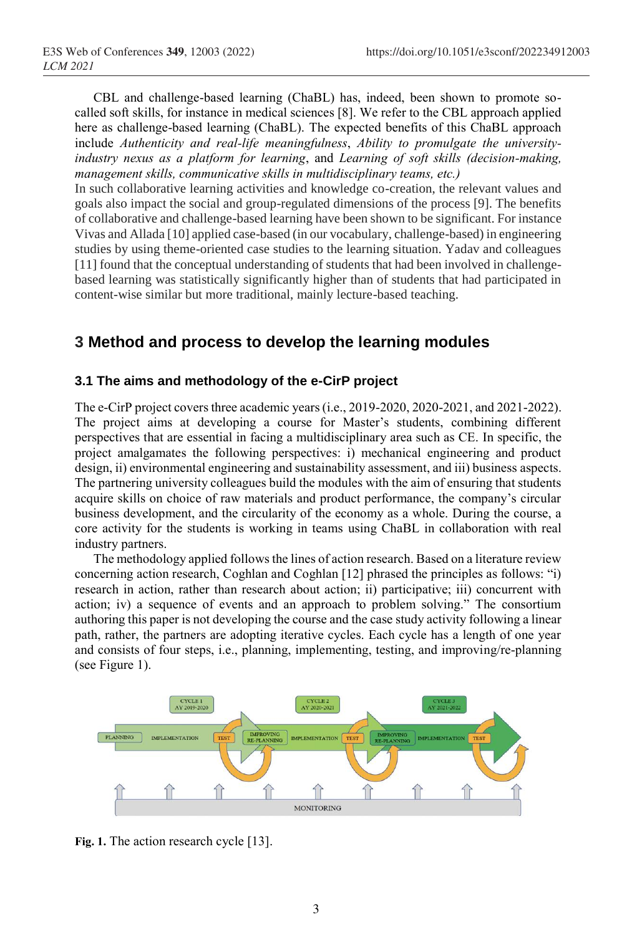CBL and challenge-based learning (ChaBL) has, indeed, been shown to promote socalled soft skills, for instance in medical sciences [8]. We refer to the CBL approach applied here as challenge-based learning (ChaBL). The expected benefits of this ChaBL approach include *Authenticity and real-life meaningfulness*, *Ability to promulgate the universityindustry nexus as a platform for learning*, and *Learning of soft skills (decision-making, management skills, communicative skills in multidisciplinary teams, etc.)*

In such collaborative learning activities and knowledge co-creation, the relevant values and goals also impact the social and group-regulated dimensions of the process [9]. The benefits of collaborative and challenge-based learning have been shown to be significant. For instance Vivas and Allada [10] applied case-based (in our vocabulary, challenge-based) in engineering studies by using theme-oriented case studies to the learning situation. Yadav and colleagues [11] found that the conceptual understanding of students that had been involved in challengebased learning was statistically significantly higher than of students that had participated in content-wise similar but more traditional, mainly lecture-based teaching.

## **3 Method and process to develop the learning modules**

#### **3.1 The aims and methodology of the e-CirP project**

The e-CirP project covers three academic years (i.e., 2019-2020, 2020-2021, and 2021-2022). The project aims at developing a course for Master's students, combining different perspectives that are essential in facing a multidisciplinary area such as CE. In specific, the project amalgamates the following perspectives: i) mechanical engineering and product design, ii) environmental engineering and sustainability assessment, and iii) business aspects. The partnering university colleagues build the modules with the aim of ensuring that students acquire skills on choice of raw materials and product performance, the company's circular business development, and the circularity of the economy as a whole. During the course, a core activity for the students is working in teams using ChaBL in collaboration with real industry partners.

The methodology applied follows the lines of action research. Based on a literature review concerning action research, Coghlan and Coghlan [12] phrased the principles as follows: "i) research in action, rather than research about action; ii) participative; iii) concurrent with action; iv) a sequence of events and an approach to problem solving." The consortium authoring this paper is not developing the course and the case study activity following a linear path, rather, the partners are adopting iterative cycles. Each cycle has a length of one year and consists of four steps, i.e., planning, implementing, testing, and improving/re-planning (see Figure 1).



**Fig. 1.** The action research cycle [13].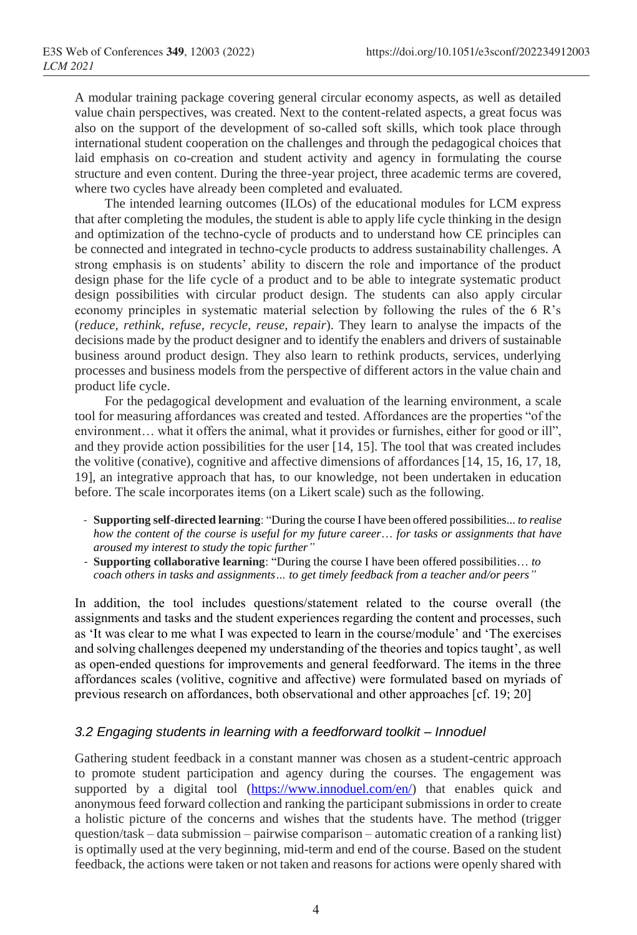A modular training package covering general circular economy aspects, as well as detailed value chain perspectives, was created. Next to the content-related aspects, a great focus was also on the support of the development of so-called soft skills, which took place through international student cooperation on the challenges and through the pedagogical choices that laid emphasis on co-creation and student activity and agency in formulating the course structure and even content. During the three-year project, three academic terms are covered, where two cycles have already been completed and evaluated.

The intended learning outcomes (ILOs) of the educational modules for LCM express that after completing the modules, the student is able to apply life cycle thinking in the design and optimization of the techno-cycle of products and to understand how CE principles can be connected and integrated in techno-cycle products to address sustainability challenges. A strong emphasis is on students' ability to discern the role and importance of the product design phase for the life cycle of a product and to be able to integrate systematic product design possibilities with circular product design. The students can also apply circular economy principles in systematic material selection by following the rules of the 6 R's (*reduce, rethink, refuse, recycle, reuse, repair*). They learn to analyse the impacts of the decisions made by the product designer and to identify the enablers and drivers of sustainable business around product design. They also learn to rethink products, services, underlying processes and business models from the perspective of different actors in the value chain and product life cycle.

For the pedagogical development and evaluation of the learning environment, a scale tool for measuring affordances was created and tested. Affordances are the properties "of the environment… what it offers the animal, what it provides or furnishes, either for good or ill", and they provide action possibilities for the user [14, 15]. The tool that was created includes the volitive (conative), cognitive and affective dimensions of affordances [14, 15, 16, 17, 18, 19], an integrative approach that has, to our knowledge, not been undertaken in education before. The scale incorporates items (on a Likert scale) such as the following.

- **Supporting self-directed learning**: "During the course I have been offered possibilities... *to realise how the content of the course is useful for my future career*… *for tasks or assignments that have aroused my interest to study the topic further"*
- **Supporting collaborative learning**: "During the course I have been offered possibilities… *to coach others in tasks and assignments… to get timely feedback from a teacher and/or peers"*

In addition, the tool includes questions/statement related to the course overall (the assignments and tasks and the student experiences regarding the content and processes, such as 'It was clear to me what I was expected to learn in the course/module' and 'The exercises and solving challenges deepened my understanding of the theories and topics taught', as well as open-ended questions for improvements and general feedforward. The items in the three affordances scales (volitive, cognitive and affective) were formulated based on myriads of previous research on affordances, both observational and other approaches [cf. 19; 20]

#### *3.2 Engaging students in learning with a feedforward toolkit – Innoduel*

Gathering student feedback in a constant manner was chosen as a student-centric approach to promote student participation and agency during the courses. The engagement was supported by a digital tool [\(https://www.innoduel.com/en/\)](https://www.innoduel.com/en/) that enables quick and anonymous feed forward collection and ranking the participant submissions in order to create a holistic picture of the concerns and wishes that the students have. The method (trigger question/task – data submission – pairwise comparison – automatic creation of a ranking list) is optimally used at the very beginning, mid-term and end of the course. Based on the student feedback, the actions were taken or not taken and reasons for actions were openly shared with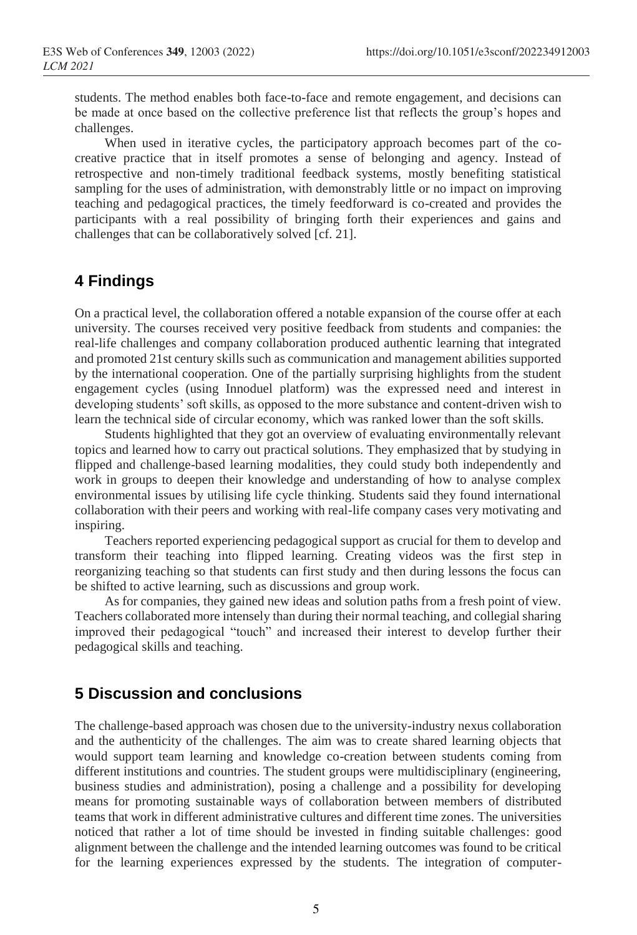students. The method enables both face-to-face and remote engagement, and decisions can be made at once based on the collective preference list that reflects the group's hopes and challenges.

When used in iterative cycles, the participatory approach becomes part of the cocreative practice that in itself promotes a sense of belonging and agency. Instead of retrospective and non-timely traditional feedback systems, mostly benefiting statistical sampling for the uses of administration, with demonstrably little or no impact on improving teaching and pedagogical practices, the timely feedforward is co-created and provides the participants with a real possibility of bringing forth their experiences and gains and challenges that can be collaboratively solved [cf. 21].

## **4 Findings**

On a practical level, the collaboration offered a notable expansion of the course offer at each university. The courses received very positive feedback from students and companies: the real-life challenges and company collaboration produced authentic learning that integrated and promoted 21st century skills such as communication and management abilities supported by the international cooperation. One of the partially surprising highlights from the student engagement cycles (using Innoduel platform) was the expressed need and interest in developing students' soft skills, as opposed to the more substance and content-driven wish to learn the technical side of circular economy, which was ranked lower than the soft skills.

Students highlighted that they got an overview of evaluating environmentally relevant topics and learned how to carry out practical solutions. They emphasized that by studying in flipped and challenge-based learning modalities, they could study both independently and work in groups to deepen their knowledge and understanding of how to analyse complex environmental issues by utilising life cycle thinking. Students said they found international collaboration with their peers and working with real-life company cases very motivating and inspiring.

Teachers reported experiencing pedagogical support as crucial for them to develop and transform their teaching into flipped learning. Creating videos was the first step in reorganizing teaching so that students can first study and then during lessons the focus can be shifted to active learning, such as discussions and group work.

As for companies, they gained new ideas and solution paths from a fresh point of view. Teachers collaborated more intensely than during their normal teaching, and collegial sharing improved their pedagogical "touch" and increased their interest to develop further their pedagogical skills and teaching.

## **5 Discussion and conclusions**

The challenge-based approach was chosen due to the university-industry nexus collaboration and the authenticity of the challenges. The aim was to create shared learning objects that would support team learning and knowledge co-creation between students coming from different institutions and countries. The student groups were multidisciplinary (engineering, business studies and administration), posing a challenge and a possibility for developing means for promoting sustainable ways of collaboration between members of distributed teams that work in different administrative cultures and different time zones. The universities noticed that rather a lot of time should be invested in finding suitable challenges: good alignment between the challenge and the intended learning outcomes was found to be critical for the learning experiences expressed by the students. The integration of computer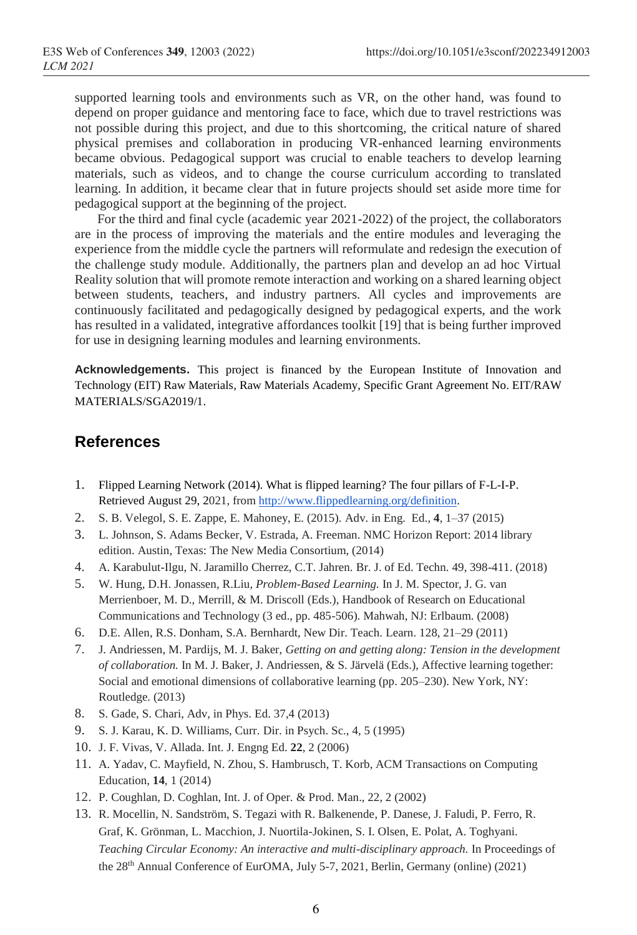supported learning tools and environments such as VR, on the other hand, was found to depend on proper guidance and mentoring face to face, which due to travel restrictions was not possible during this project, and due to this shortcoming, the critical nature of shared physical premises and collaboration in producing VR-enhanced learning environments became obvious. Pedagogical support was crucial to enable teachers to develop learning materials, such as videos, and to change the course curriculum according to translated learning. In addition, it became clear that in future projects should set aside more time for pedagogical support at the beginning of the project.

For the third and final cycle (academic year 2021-2022) of the project, the collaborators are in the process of improving the materials and the entire modules and leveraging the experience from the middle cycle the partners will reformulate and redesign the execution of the challenge study module. Additionally, the partners plan and develop an ad hoc Virtual Reality solution that will promote remote interaction and working on a shared learning object between students, teachers, and industry partners. All cycles and improvements are continuously facilitated and pedagogically designed by pedagogical experts, and the work has resulted in a validated, integrative affordances toolkit [19] that is being further improved for use in designing learning modules and learning environments.

**Acknowledgements.** This project is financed by the European Institute of Innovation and Technology (EIT) Raw Materials, Raw Materials Academy, Specific Grant Agreement No. EIT/RAW MATERIALS/SGA2019/1.

### **References**

- 1. Flipped Learning Network (2014). What is flipped learning? The four pillars of F-L-I-P. Retrieved August 29, 2021, from [http://www.flippedlearning.org/definition.](http://www.flippedlearning.org/definition)
- 2. S. B. Velegol, S. E. Zappe, E. Mahoney, E. (2015). Adv. in Eng. Ed., **4**, 1–37 (2015)
- 3. L. Johnson, S. Adams Becker, V. Estrada, A. Freeman. NMC Horizon Report: 2014 library edition. Austin, Texas: The New Media Consortium, (2014)
- 4. A. Karabulut-Ilgu, N. Jaramillo Cherrez, C.T. Jahren. Br. J. of Ed. Techn. 49, 398-411. (2018)
- 5. W. Hung, D.H. Jonassen, R.Liu, *Problem-Based Learning.* In J. M. Spector, J. G. van Merrienboer, M. D., Merrill, & M. Driscoll (Eds.), Handbook of Research on Educational Communications and Technology (3 ed., pp. 485-506). Mahwah, NJ: Erlbaum. (2008)
- 6. D.E. Allen, R.S. Donham, S.A. Bernhardt, New Dir. Teach. Learn. 128, 21–29 (2011)
- 7. J. Andriessen, M. Pardijs, M. J. Baker, *Getting on and getting along: Tension in the development of collaboration.* In M. J. Baker, J. Andriessen, & S. Järvelä (Eds.), Affective learning together: Social and emotional dimensions of collaborative learning (pp. 205–230). New York, NY: Routledge. (2013)
- 8. S. Gade, S. Chari, Adv, in Phys. Ed. 37,4 (2013)
- 9. S. J. Karau, K. D. Williams, Curr. Dir. in Psych. Sc., 4, 5 (1995)
- 10. J. F. Vivas, V. Allada. Int. J. Engng Ed. **22**, 2 (2006)
- 11. A. Yadav, C. Mayfield, N. Zhou, S. Hambrusch, T. Korb, ACM Transactions on Computing Education, **14**, 1 (2014)
- 12. P. Coughlan, D. Coghlan, Int. J. of Oper. & Prod. Man., 22, 2 (2002)
- 13. R. Mocellin, N. Sandström, S. Tegazi with R. Balkenende, P. Danese, J. Faludi, P. Ferro, R. Graf, K. Grönman, L. Macchion, J. Nuortila-Jokinen, S. I. Olsen, E. Polat, A. Toghyani. *Teaching Circular Economy: An interactive and multi-disciplinary approach.* In Proceedings of the 28th Annual Conference of EurOMA, July 5-7, 2021, Berlin, Germany (online) (2021)